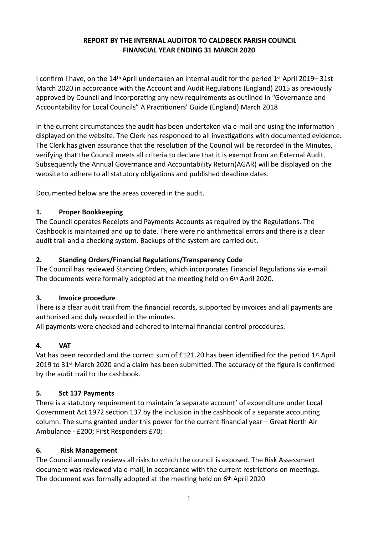#### **REPORT BY THE INTERNAL AUDITOR TO CALDBECK PARISH COUNCIL FINANCIAL YEAR ENDING 31 MARCH 2020**

I confirm I have, on the 14th April undertaken an internal audit for the period 1st April 2019– 31st March 2020 in accordance with the Account and Audit Regulations (England) 2015 as previously approved by Council and incorporating any new requirements as outlined in "Governance and Accountability for Local Councils" A Practitioners' Guide (England) March 2018

In the current circumstances the audit has been undertaken via e-mail and using the information displayed on the website. The Clerk has responded to all investigations with documented evidence. The Clerk has given assurance that the resolution of the Council will be recorded in the Minutes, verifying that the Council meets all criteria to declare that it is exempt from an External Audit. Subsequently the Annual Governance and Accountability Return(AGAR) will be displayed on the website to adhere to all statutory obligations and published deadline dates.

Documented below are the areas covered in the audit.

### **1. Proper Bookkeeping**

The Council operates Receipts and Payments Accounts as required by the Regulations. The Cashbook is maintained and up to date. There were no arithmetical errors and there is a clear audit trail and a checking system. Backups of the system are carried out.

#### 2. Standing Orders/Financial Regulations/Transparency Code

The Council has reviewed Standing Orders, which incorporates Financial Regulations via e-mail. The documents were formally adopted at the meeting held on  $6<sup>th</sup>$  April 2020.

#### **3. Invoice procedure**

There is a clear audit trail from the financial records, supported by invoices and all payments are authorised and duly recorded in the minutes.

All payments were checked and adhered to internal financial control procedures.

### **4. VAT**

Vat has been recorded and the correct sum of £121.20 has been identified for the period 1st.April 2019 to 31<sup>st</sup> March 2020 and a claim has been submitted. The accuracy of the figure is confirmed by the audit trail to the cashbook.

### **5. Sct 137 Payments**

There is a statutory requirement to maintain 'a separate account' of expenditure under Local Government Act 1972 section 137 by the inclusion in the cashbook of a separate accounting column. The sums granted under this power for the current financial year – Great North Air Ambulance - £200; First Responders £70;

### **6. Risk Management**

The Council annually reviews all risks to which the council is exposed. The Risk Assessment document was reviewed via e-mail, in accordance with the current restrictions on meetings. The document was formally adopted at the meeting held on 6th April 2020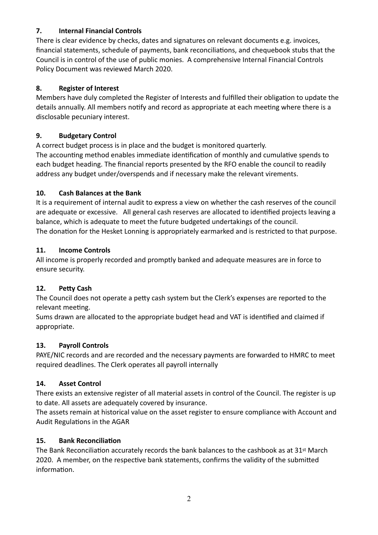### **7. Internal Financial Controls**

There is clear evidence by checks, dates and signatures on relevant documents e.g. invoices, financial statements, schedule of payments, bank reconciliations, and chequebook stubs that the Council is in control of the use of public monies. A comprehensive Internal Financial Controls Policy Document was reviewed March 2020.

### **8. Register of Interest**

Members have duly completed the Register of Interests and fulfilled their obligation to update the details annually. All members notify and record as appropriate at each meeting where there is a disclosable pecuniary interest.

### **9. Budgetary Control**

A correct budget process is in place and the budget is monitored quarterly. The accounting method enables immediate identification of monthly and cumulative spends to each budget heading. The financial reports presented by the RFO enable the council to readily address any budget under/overspends and if necessary make the relevant virements.

## **10. Cash Balances at the Bank**

It is a requirement of internal audit to express a view on whether the cash reserves of the council are adequate or excessive. All general cash reserves are allocated to identified projects leaving a balance, which is adequate to meet the future budgeted undertakings of the council. The donation for the Hesket Lonning is appropriately earmarked and is restricted to that purpose.

## **11. Income Controls**

All income is properly recorded and promptly banked and adequate measures are in force to ensure security.

# 12. Petty Cash

The Council does not operate a petty cash system but the Clerk's expenses are reported to the relevant meeting.

Sums drawn are allocated to the appropriate budget head and VAT is identified and claimed if appropriate.

# **13. Payroll Controls**

PAYE/NIC records and are recorded and the necessary payments are forwarded to HMRC to meet required deadlines. The Clerk operates all payroll internally

# **14. Asset Control**

There exists an extensive register of all material assets in control of the Council. The register is up to date. All assets are adequately covered by insurance.

The assets remain at historical value on the asset register to ensure compliance with Account and Audit Regulations in the AGAR

### **15.** Bank Reconciliation

The Bank Reconciliation accurately records the bank balances to the cashbook as at 31<sup>st</sup> March 2020. A member, on the respective bank statements, confirms the validity of the submitted information.